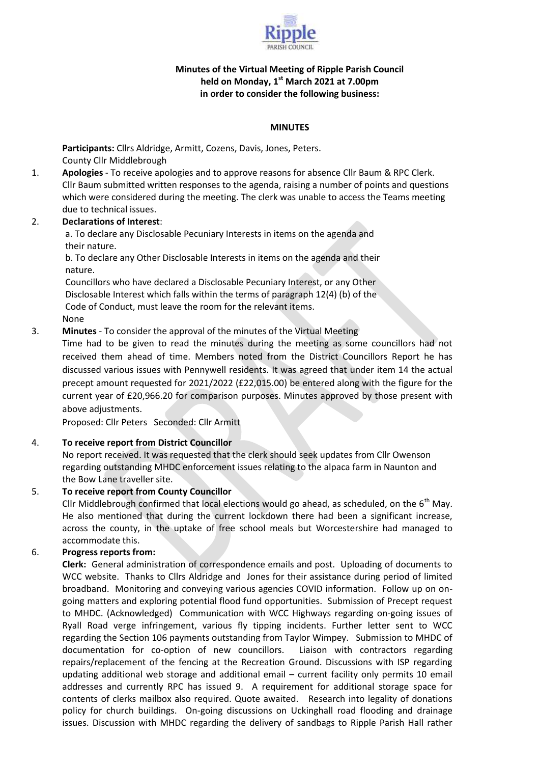

# **Minutes of the Virtual Meeting of Ripple Parish Council held on Monday, 1st March 2021 at 7.00pm in order to consider the following business:**

### **MINUTES**

**Participants:** Cllrs Aldridge, Armitt, Cozens, Davis, Jones, Peters. County Cllr Middlebrough

1. **Apologies** - To receive apologies and to approve reasons for absence Cllr Baum & RPC Clerk. Cllr Baum submitted written responses to the agenda, raising a number of points and questions which were considered during the meeting. The clerk was unable to access the Teams meeting due to technical issues.

## 2. **Declarations of Interest**:

a. To declare any Disclosable Pecuniary Interests in items on the agenda and their nature.

b. To declare any Other Disclosable Interests in items on the agenda and their nature.

Councillors who have declared a Disclosable Pecuniary Interest, or any Other Disclosable Interest which falls within the terms of paragraph 12(4) (b) of the Code of Conduct, must leave the room for the relevant items.

## None

3. **Minutes** - To consider the approval of the minutes of the Virtual Meeting

Time had to be given to read the minutes during the meeting as some councillors had not received them ahead of time. Members noted from the District Councillors Report he has discussed various issues with Pennywell residents. It was agreed that under item 14 the actual precept amount requested for 2021/2022 (£22,015.00) be entered along with the figure for the current year of £20,966.20 for comparison purposes. Minutes approved by those present with above adjustments.

Proposed: Cllr Peters Seconded: Cllr Armitt

# 4. **To receive report from District Councillor**

No report received. It was requested that the clerk should seek updates from Cllr Owenson regarding outstanding MHDC enforcement issues relating to the alpaca farm in Naunton and the Bow Lane traveller site.

# 5. **To receive report from County Councillor**

Cllr Middlebrough confirmed that local elections would go ahead, as scheduled, on the  $6<sup>th</sup>$  May. He also mentioned that during the current lockdown there had been a significant increase, across the county, in the uptake of free school meals but Worcestershire had managed to accommodate this.

# 6. **Progress reports from:**

**Clerk:** General administration of correspondence emails and post. Uploading of documents to WCC website. Thanks to Cllrs Aldridge and Jones for their assistance during period of limited broadband. Monitoring and conveying various agencies COVID information. Follow up on ongoing matters and exploring potential flood fund opportunities. Submission of Precept request to MHDC. (Acknowledged) Communication with WCC Highways regarding on-going issues of Ryall Road verge infringement, various fly tipping incidents. Further letter sent to WCC regarding the Section 106 payments outstanding from Taylor Wimpey. Submission to MHDC of documentation for co-option of new councillors. Liaison with contractors regarding repairs/replacement of the fencing at the Recreation Ground. Discussions with ISP regarding updating additional web storage and additional email – current facility only permits 10 email addresses and currently RPC has issued 9. A requirement for additional storage space for contents of clerks mailbox also required. Quote awaited. Research into legality of donations policy for church buildings. On-going discussions on Uckinghall road flooding and drainage issues. Discussion with MHDC regarding the delivery of sandbags to Ripple Parish Hall rather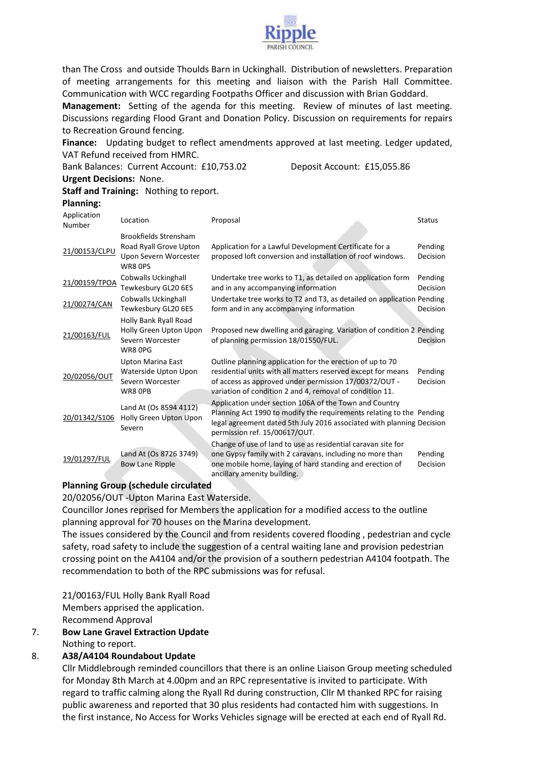

than The Cross and outside Thoulds Barn in Uckinghall. Distribution of newsletters. Preparation of meeting arrangements for this meeting and liaison with the Parish Hall Committee. Communication with WCC regarding Footpaths Officer and discussion with Brian Goddard. **Management:** Setting of the agenda for this meeting. Review of minutes of last meeting. Discussions regarding Flood Grant and Donation Policy. Discussion on requirements for repairs to Recreation Ground fencing.

**Finance:** Updating budget to reflect amendments approved at last meeting. Ledger updated, VAT Refund received from HMRC.

Bank Balances: Current Account: £10,753.02 Deposit Account: £15,055.86

#### **Urgent Decisions:** None.

#### **Staff and Training:** Nothing to report.

## **Planning:**

| Application<br>Number | Location                                                                                   | Proposal                                                                                                                                                                                                                                       | <b>Status</b>              |
|-----------------------|--------------------------------------------------------------------------------------------|------------------------------------------------------------------------------------------------------------------------------------------------------------------------------------------------------------------------------------------------|----------------------------|
| 21/00153/CLPU         | <b>Brookfields Strensham</b><br>Road Ryall Grove Upton<br>Upon Severn Worcester<br>WR8 OPS | Application for a Lawful Development Certificate for a<br>proposed loft conversion and installation of roof windows.                                                                                                                           | Pending<br>Decision        |
| 21/00159/TPOA         | <b>Cobwalls Uckinghall</b><br>Tewkesbury GL20 6ES                                          | Undertake tree works to T1, as detailed on application form<br>and in any accompanying information                                                                                                                                             | Pending<br>Decision        |
| 21/00274/CAN          | <b>Cobwalls Uckinghall</b><br>Tewkesbury GL20 6ES                                          | Undertake tree works to T2 and T3, as detailed on application Pending<br>form and in any accompanying information                                                                                                                              | Decision                   |
| 21/00163/FUL          | Holly Bank Ryall Road<br>Holly Green Upton Upon<br>Severn Worcester<br>WR8 OPG             | Proposed new dwelling and garaging. Variation of condition 2 Pending<br>of planning permission 18/01550/FUL.                                                                                                                                   | Decision                   |
| 20/02056/OUT          | <b>Upton Marina East</b><br>Waterside Upton Upon<br>Severn Worcester<br>WR8 OPB            | Outline planning application for the erection of up to 70<br>residential units with all matters reserved except for means<br>of access as approved under permission 17/00372/OUT -<br>variation of condition 2 and 4, removal of condition 11. | Pending<br><b>Decision</b> |
| 20/01342/S106         | Land At (Os 8594 4112)<br>Holly Green Upton Upon<br>Severn                                 | Application under section 106A of the Town and Country<br>Planning Act 1990 to modify the requirements relating to the Pending<br>legal agreement dated 5th July 2016 associated with planning Decision<br>permission ref. 15/00617/OUT.       |                            |
| 19/01297/FUL          | Land At (Os 8726 3749)<br>Bow Lane Ripple                                                  | Change of use of land to use as residential caravan site for<br>one Gypsy family with 2 caravans, including no more than<br>one mobile home, laying of hard standing and erection of<br>ancillary amenity building.                            | Pending<br>Decision        |

#### **Planning Group (schedule circulated**

20/02056/OUT -Upton Marina East Waterside.

Councillor Jones reprised for Members the application for a modified access to the outline planning approval for 70 houses on the Marina development.

The issues considered by the Council and from residents covered flooding , pedestrian and cycle safety, road safety to include the suggestion of a central waiting lane and provision pedestrian crossing point on the A4104 and/or the provision of a southern pedestrian A4104 footpath. The recommendation to both of the RPC submissions was for refusal.

21/00163/FUL Holly Bank Ryall Road Members apprised the application. Recommend Approval

#### 7. **Bow Lane Gravel Extraction Update** Nothing to report.

#### 8. **A38/A4104 Roundabout Update**

Cllr Middlebrough reminded councillors that there is an online Liaison Group meeting scheduled for Monday 8th March at 4.00pm and an RPC representative is invited to participate. With regard to traffic calming along the Ryall Rd during construction, Cllr M thanked RPC for raising public awareness and reported that 30 plus residents had contacted him with suggestions. In the first instance, No Access for Works Vehicles signage will be erected at each end of Ryall Rd.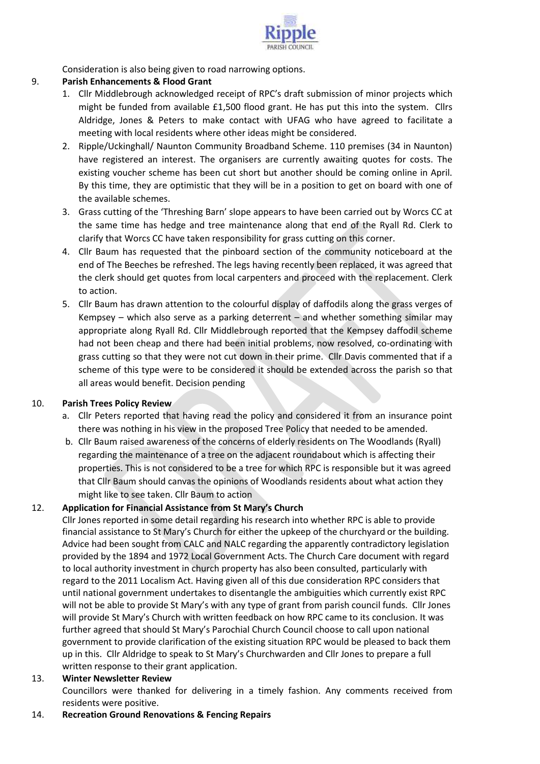

Consideration is also being given to road narrowing options.

# 9. **Parish Enhancements & Flood Grant**

- 1. Cllr Middlebrough acknowledged receipt of RPC's draft submission of minor projects which might be funded from available £1,500 flood grant. He has put this into the system. Cllrs Aldridge, Jones & Peters to make contact with UFAG who have agreed to facilitate a meeting with local residents where other ideas might be considered.
- 2. Ripple/Uckinghall/ Naunton Community Broadband Scheme. 110 premises (34 in Naunton) have registered an interest. The organisers are currently awaiting quotes for costs. The existing voucher scheme has been cut short but another should be coming online in April. By this time, they are optimistic that they will be in a position to get on board with one of the available schemes.
- 3. Grass cutting of the 'Threshing Barn' slope appears to have been carried out by Worcs CC at the same time has hedge and tree maintenance along that end of the Ryall Rd. Clerk to clarify that Worcs CC have taken responsibility for grass cutting on this corner.
- 4. Cllr Baum has requested that the pinboard section of the community noticeboard at the end of The Beeches be refreshed. The legs having recently been replaced, it was agreed that the clerk should get quotes from local carpenters and proceed with the replacement. Clerk to action.
- 5. Cllr Baum has drawn attention to the colourful display of daffodils along the grass verges of Kempsey – which also serve as a parking deterrent – and whether something similar may appropriate along Ryall Rd. Cllr Middlebrough reported that the Kempsey daffodil scheme had not been cheap and there had been initial problems, now resolved, co-ordinating with grass cutting so that they were not cut down in their prime. Cllr Davis commented that if a scheme of this type were to be considered it should be extended across the parish so that all areas would benefit. Decision pending

# 10. **Parish Trees Policy Review**

- a. Cllr Peters reported that having read the policy and considered it from an insurance point there was nothing in his view in the proposed Tree Policy that needed to be amended.
- b. Cllr Baum raised awareness of the concerns of elderly residents on The Woodlands (Ryall) regarding the maintenance of a tree on the adjacent roundabout which is affecting their properties. This is not considered to be a tree for which RPC is responsible but it was agreed that Cllr Baum should canvas the opinions of Woodlands residents about what action they might like to see taken. Cllr Baum to action

# 12. **Application for Financial Assistance from St Mary's Church**

Cllr Jones reported in some detail regarding his research into whether RPC is able to provide financial assistance to St Mary's Church for either the upkeep of the churchyard or the building. Advice had been sought from CALC and NALC regarding the apparently contradictory legislation provided by the 1894 and 1972 Local Government Acts. The Church Care document with regard to local authority investment in church property has also been consulted, particularly with regard to the 2011 Localism Act. Having given all of this due consideration RPC considers that until national government undertakes to disentangle the ambiguities which currently exist RPC will not be able to provide St Mary's with any type of grant from parish council funds. Cllr Jones will provide St Mary's Church with written feedback on how RPC came to its conclusion. It was further agreed that should St Mary's Parochial Church Council choose to call upon national government to provide clarification of the existing situation RPC would be pleased to back them up in this. Cllr Aldridge to speak to St Mary's Churchwarden and Cllr Jones to prepare a full written response to their grant application.

# 13. **Winter Newsletter Review**

Councillors were thanked for delivering in a timely fashion. Any comments received from residents were positive.

14. **Recreation Ground Renovations & Fencing Repairs**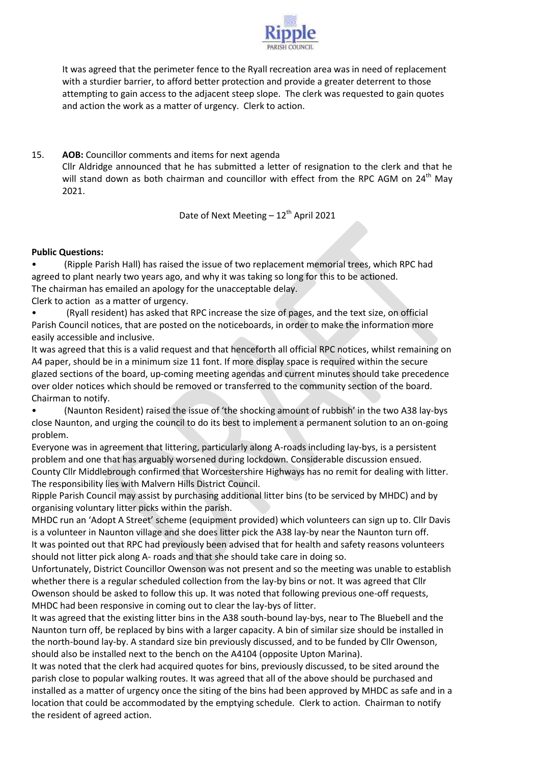

It was agreed that the perimeter fence to the Ryall recreation area was in need of replacement with a sturdier barrier, to afford better protection and provide a greater deterrent to those attempting to gain access to the adjacent steep slope. The clerk was requested to gain quotes and action the work as a matter of urgency. Clerk to action.

15. **AOB:** Councillor comments and items for next agenda Cllr Aldridge announced that he has submitted a letter of resignation to the clerk and that he will stand down as both chairman and councillor with effect from the RPC AGM on 24<sup>th</sup> May 2021.

Date of Next Meeting  $-12^{th}$  April 2021

## **Public Questions:**

• (Ripple Parish Hall) has raised the issue of two replacement memorial trees, which RPC had agreed to plant nearly two years ago, and why it was taking so long for this to be actioned. The chairman has emailed an apology for the unacceptable delay.

Clerk to action as a matter of urgency.

• (Ryall resident) has asked that RPC increase the size of pages, and the text size, on official Parish Council notices, that are posted on the noticeboards, in order to make the information more easily accessible and inclusive.

It was agreed that this is a valid request and that henceforth all official RPC notices, whilst remaining on A4 paper, should be in a minimum size 11 font. If more display space is required within the secure glazed sections of the board, up-coming meeting agendas and current minutes should take precedence over older notices which should be removed or transferred to the community section of the board. Chairman to notify.

• (Naunton Resident) raised the issue of 'the shocking amount of rubbish' in the two A38 lay-bys close Naunton, and urging the council to do its best to implement a permanent solution to an on-going problem.

Everyone was in agreement that littering, particularly along A-roads including lay-bys, is a persistent problem and one that has arguably worsened during lockdown. Considerable discussion ensued. County Cllr Middlebrough confirmed that Worcestershire Highways has no remit for dealing with litter. The responsibility lies with Malvern Hills District Council.

Ripple Parish Council may assist by purchasing additional litter bins (to be serviced by MHDC) and by organising voluntary litter picks within the parish.

MHDC run an 'Adopt A Street' scheme (equipment provided) which volunteers can sign up to. Cllr Davis is a volunteer in Naunton village and she does litter pick the A38 lay-by near the Naunton turn off. It was pointed out that RPC had previously been advised that for health and safety reasons volunteers should not litter pick along A- roads and that she should take care in doing so.

Unfortunately, District Councillor Owenson was not present and so the meeting was unable to establish whether there is a regular scheduled collection from the lay-by bins or not. It was agreed that Cllr Owenson should be asked to follow this up. It was noted that following previous one-off requests, MHDC had been responsive in coming out to clear the lay-bys of litter.

It was agreed that the existing litter bins in the A38 south-bound lay-bys, near to The Bluebell and the Naunton turn off, be replaced by bins with a larger capacity. A bin of similar size should be installed in the north-bound lay-by. A standard size bin previously discussed, and to be funded by Cllr Owenson, should also be installed next to the bench on the A4104 (opposite Upton Marina).

It was noted that the clerk had acquired quotes for bins, previously discussed, to be sited around the parish close to popular walking routes. It was agreed that all of the above should be purchased and installed as a matter of urgency once the siting of the bins had been approved by MHDC as safe and in a location that could be accommodated by the emptying schedule. Clerk to action. Chairman to notify the resident of agreed action.